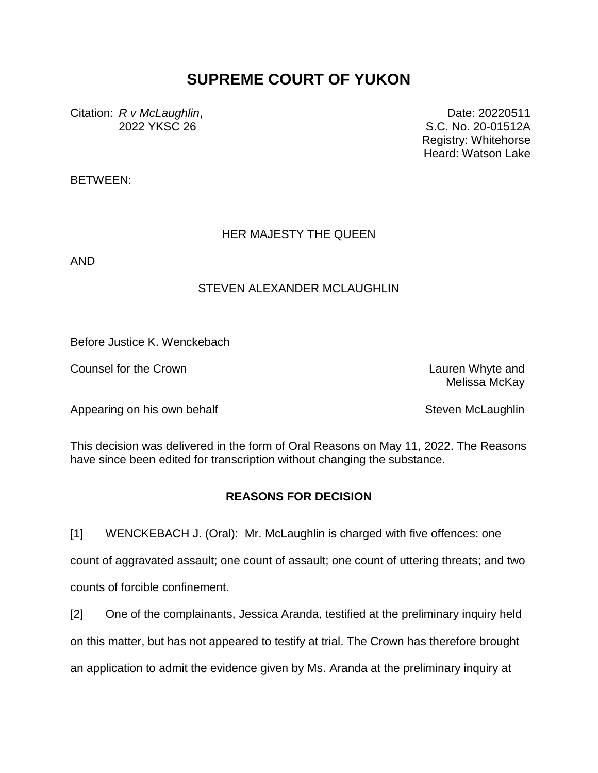## **SUPREME COURT OF YUKON**

Citation: *R v McLaughlin*, 2022 YKSC 26

Date: 20220511 S.C. No. 20-01512A Registry: Whitehorse Heard: Watson Lake

BETWEEN:

## HER MAJESTY THE QUEEN

AND

## STEVEN ALEXANDER MCLAUGHLIN

Before Justice K. Wenckebach

Counsel for the Crown Lauren Whyte and

Melissa McKay

Appearing on his own behalf Steven McLaughlin Steven McLaughlin

This decision was delivered in the form of Oral Reasons on May 11, 2022. The Reasons have since been edited for transcription without changing the substance.

## **REASONS FOR DECISION**

[1] WENCKEBACH J. (Oral): Mr. McLaughlin is charged with five offences: one count of aggravated assault; one count of assault; one count of uttering threats; and two counts of forcible confinement.

[2] One of the complainants, Jessica Aranda, testified at the preliminary inquiry held on this matter, but has not appeared to testify at trial. The Crown has therefore brought an application to admit the evidence given by Ms. Aranda at the preliminary inquiry at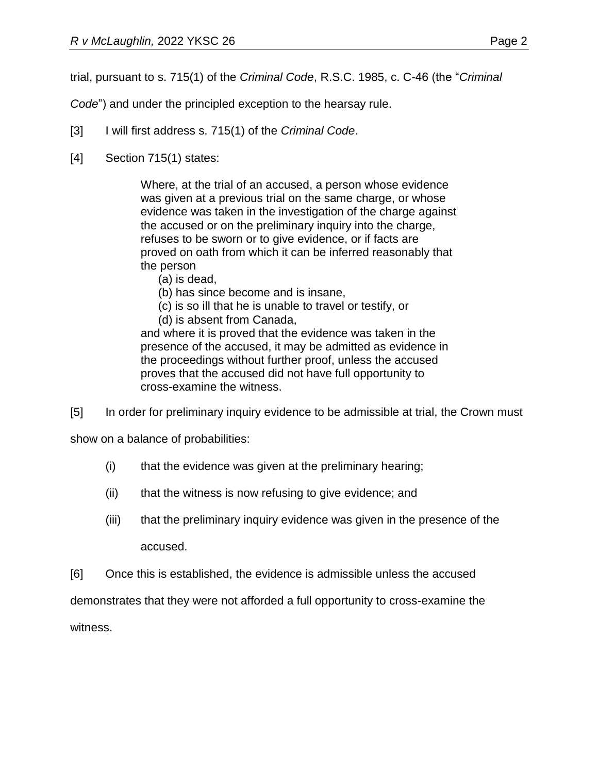trial, pursuant to s. 715(1) of the *Criminal Code*, R.S.C. 1985, c. C-46 (the "*Criminal* 

*Code*") and under the principled exception to the hearsay rule.

- [3] I will first address s. 715(1) of the *Criminal Code*.
- [4] Section 715(1) states:

Where, at the trial of an accused, a person whose evidence was given at a previous trial on the same charge, or whose evidence was taken in the investigation of the charge against the accused or on the preliminary inquiry into the charge, refuses to be sworn or to give evidence, or if facts are proved on oath from which it can be inferred reasonably that the person

- (a) is dead,
- (b) has since become and is insane,
- (c) is so ill that he is unable to travel or testify, or
- (d) is absent from Canada,

and where it is proved that the evidence was taken in the presence of the accused, it may be admitted as evidence in the proceedings without further proof, unless the accused proves that the accused did not have full opportunity to cross-examine the witness.

[5] In order for preliminary inquiry evidence to be admissible at trial, the Crown must

show on a balance of probabilities:

- (i) that the evidence was given at the preliminary hearing;
- (ii) that the witness is now refusing to give evidence; and
- (iii) that the preliminary inquiry evidence was given in the presence of the accused.
- [6] Once this is established, the evidence is admissible unless the accused

demonstrates that they were not afforded a full opportunity to cross-examine the

witness.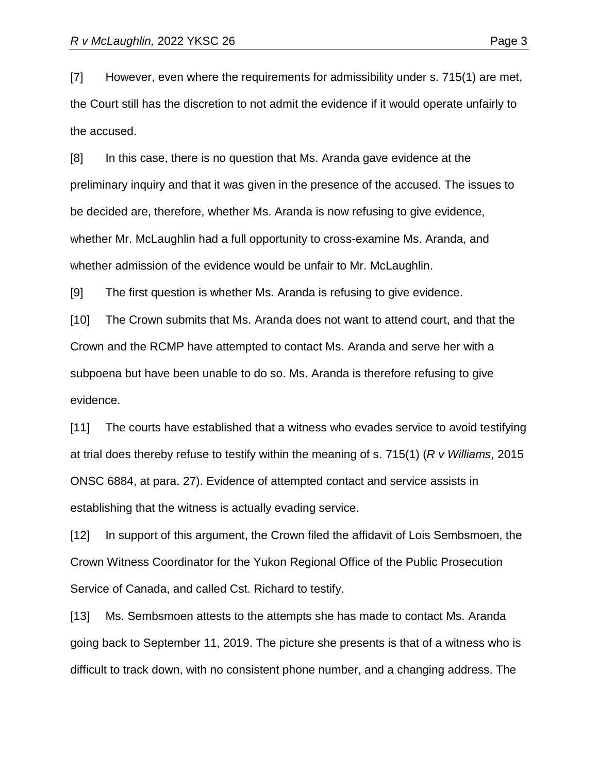[7] However, even where the requirements for admissibility under s. 715(1) are met, the Court still has the discretion to not admit the evidence if it would operate unfairly to the accused.

[8] In this case, there is no question that Ms. Aranda gave evidence at the preliminary inquiry and that it was given in the presence of the accused. The issues to be decided are, therefore, whether Ms. Aranda is now refusing to give evidence, whether Mr. McLaughlin had a full opportunity to cross-examine Ms. Aranda, and whether admission of the evidence would be unfair to Mr. McLaughlin.

[9] The first question is whether Ms. Aranda is refusing to give evidence.

[10] The Crown submits that Ms. Aranda does not want to attend court, and that the Crown and the RCMP have attempted to contact Ms. Aranda and serve her with a subpoena but have been unable to do so. Ms. Aranda is therefore refusing to give evidence.

[11] The courts have established that a witness who evades service to avoid testifying at trial does thereby refuse to testify within the meaning of s. 715(1) (*R v Williams*, 2015 ONSC 6884, at para. 27). Evidence of attempted contact and service assists in establishing that the witness is actually evading service.

[12] In support of this argument, the Crown filed the affidavit of Lois Sembsmoen, the Crown Witness Coordinator for the Yukon Regional Office of the Public Prosecution Service of Canada, and called Cst. Richard to testify.

[13] Ms. Sembsmoen attests to the attempts she has made to contact Ms. Aranda going back to September 11, 2019. The picture she presents is that of a witness who is difficult to track down, with no consistent phone number, and a changing address. The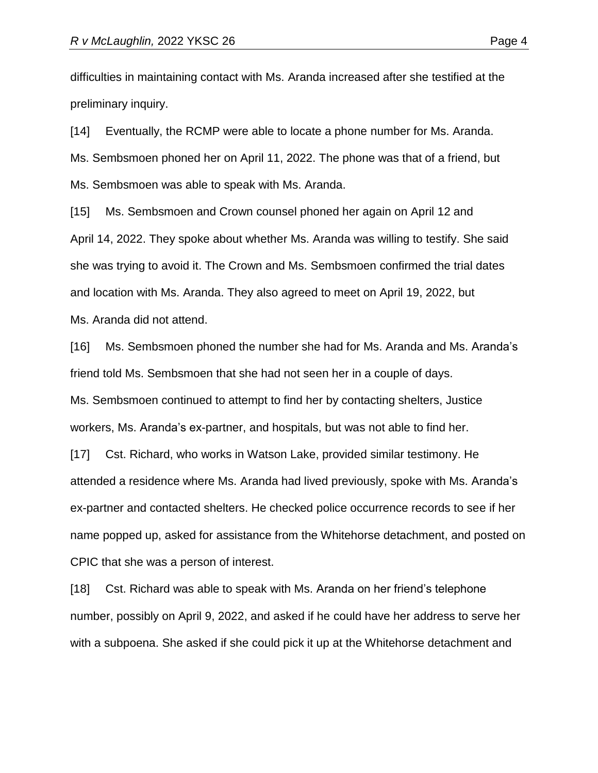difficulties in maintaining contact with Ms. Aranda increased after she testified at the preliminary inquiry.

[14] Eventually, the RCMP were able to locate a phone number for Ms. Aranda. Ms. Sembsmoen phoned her on April 11, 2022. The phone was that of a friend, but Ms. Sembsmoen was able to speak with Ms. Aranda.

[15] Ms. Sembsmoen and Crown counsel phoned her again on April 12 and April 14, 2022. They spoke about whether Ms. Aranda was willing to testify. She said she was trying to avoid it. The Crown and Ms. Sembsmoen confirmed the trial dates and location with Ms. Aranda. They also agreed to meet on April 19, 2022, but Ms. Aranda did not attend.

[16] Ms. Sembsmoen phoned the number she had for Ms. Aranda and Ms. Aranda's friend told Ms. Sembsmoen that she had not seen her in a couple of days. Ms. Sembsmoen continued to attempt to find her by contacting shelters, Justice

workers, Ms. Aranda's ex-partner, and hospitals, but was not able to find her.

[17] Cst. Richard, who works in Watson Lake, provided similar testimony. He attended a residence where Ms. Aranda had lived previously, spoke with Ms. Aranda's ex-partner and contacted shelters. He checked police occurrence records to see if her name popped up, asked for assistance from the Whitehorse detachment, and posted on CPIC that she was a person of interest.

[18] Cst. Richard was able to speak with Ms. Aranda on her friend's telephone number, possibly on April 9, 2022, and asked if he could have her address to serve her with a subpoena. She asked if she could pick it up at the Whitehorse detachment and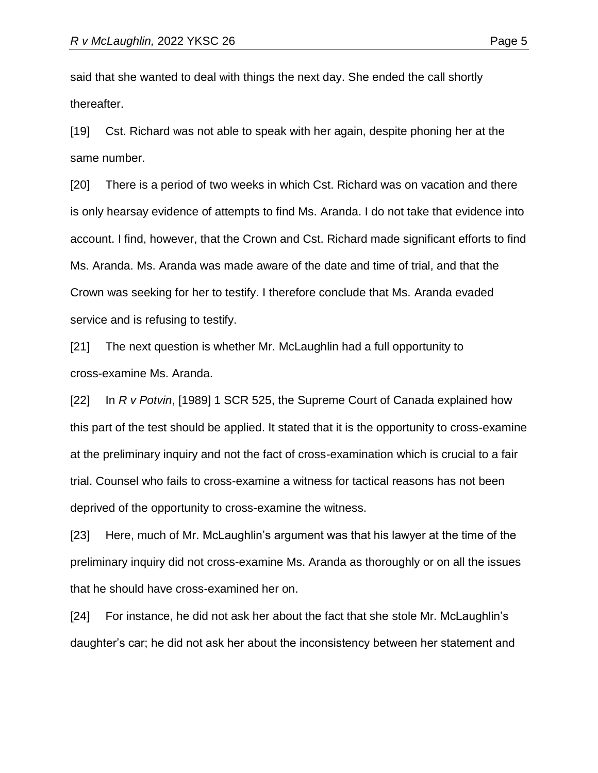said that she wanted to deal with things the next day. She ended the call shortly thereafter.

[19] Cst. Richard was not able to speak with her again, despite phoning her at the same number.

[20] There is a period of two weeks in which Cst. Richard was on vacation and there is only hearsay evidence of attempts to find Ms. Aranda. I do not take that evidence into account. I find, however, that the Crown and Cst. Richard made significant efforts to find Ms. Aranda. Ms. Aranda was made aware of the date and time of trial, and that the Crown was seeking for her to testify. I therefore conclude that Ms. Aranda evaded service and is refusing to testify.

[21] The next question is whether Mr. McLaughlin had a full opportunity to cross-examine Ms. Aranda.

[22] In *R v Potvin*, [1989] 1 SCR 525, the Supreme Court of Canada explained how this part of the test should be applied. It stated that it is the opportunity to cross-examine at the preliminary inquiry and not the fact of cross-examination which is crucial to a fair trial. Counsel who fails to cross-examine a witness for tactical reasons has not been deprived of the opportunity to cross-examine the witness.

[23] Here, much of Mr. McLaughlin's argument was that his lawyer at the time of the preliminary inquiry did not cross-examine Ms. Aranda as thoroughly or on all the issues that he should have cross-examined her on.

[24] For instance, he did not ask her about the fact that she stole Mr. McLaughlin's daughter's car; he did not ask her about the inconsistency between her statement and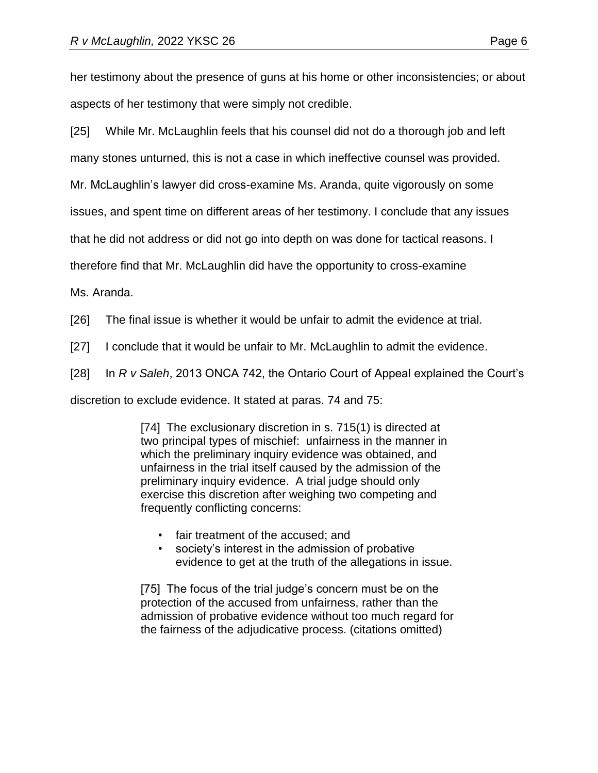her testimony about the presence of guns at his home or other inconsistencies; or about aspects of her testimony that were simply not credible.

[25] While Mr. McLaughlin feels that his counsel did not do a thorough job and left

many stones unturned, this is not a case in which ineffective counsel was provided.

Mr. McLaughlin's lawyer did cross-examine Ms. Aranda, quite vigorously on some

issues, and spent time on different areas of her testimony. I conclude that any issues

that he did not address or did not go into depth on was done for tactical reasons. I

therefore find that Mr. McLaughlin did have the opportunity to cross-examine

Ms. Aranda.

[26] The final issue is whether it would be unfair to admit the evidence at trial.

[27] I conclude that it would be unfair to Mr. McLaughlin to admit the evidence.

[28] In *R v Saleh*, 2013 ONCA 742, the Ontario Court of Appeal explained the Court's

discretion to exclude evidence. It stated at paras. 74 and 75:

[74] The exclusionary discretion in s. 715(1) is directed at two principal types of mischief: unfairness in the manner in which the preliminary inquiry evidence was obtained, and unfairness in the trial itself caused by the admission of the preliminary inquiry evidence. A trial judge should only exercise this discretion after weighing two competing and frequently conflicting concerns:

- fair treatment of the accused; and
- society's interest in the admission of probative evidence to get at the truth of the allegations in issue.

[75] The focus of the trial judge's concern must be on the protection of the accused from unfairness, rather than the admission of probative evidence without too much regard for the fairness of the adjudicative process. (citations omitted)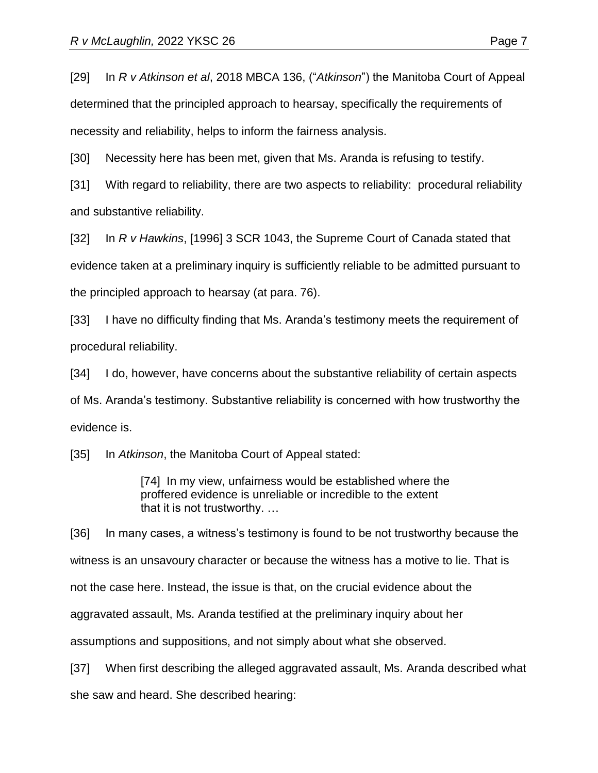[29] In *R v Atkinson et al*, 2018 MBCA 136, ("*Atkinson*") the Manitoba Court of Appeal determined that the principled approach to hearsay, specifically the requirements of necessity and reliability, helps to inform the fairness analysis.

[30] Necessity here has been met, given that Ms. Aranda is refusing to testify.

[31] With regard to reliability, there are two aspects to reliability: procedural reliability and substantive reliability.

[32] In *R v Hawkins*, [1996] 3 SCR 1043, the Supreme Court of Canada stated that evidence taken at a preliminary inquiry is sufficiently reliable to be admitted pursuant to the principled approach to hearsay (at para. 76).

[33] I have no difficulty finding that Ms. Aranda's testimony meets the requirement of procedural reliability.

[34] I do, however, have concerns about the substantive reliability of certain aspects of Ms. Aranda's testimony. Substantive reliability is concerned with how trustworthy the evidence is.

[35] In *Atkinson*, the Manitoba Court of Appeal stated:

[74] In my view, unfairness would be established where the proffered evidence is unreliable or incredible to the extent that it is not trustworthy. …

[36] In many cases, a witness's testimony is found to be not trustworthy because the witness is an unsavoury character or because the witness has a motive to lie. That is not the case here. Instead, the issue is that, on the crucial evidence about the aggravated assault, Ms. Aranda testified at the preliminary inquiry about her assumptions and suppositions, and not simply about what she observed.

[37] When first describing the alleged aggravated assault, Ms. Aranda described what she saw and heard. She described hearing: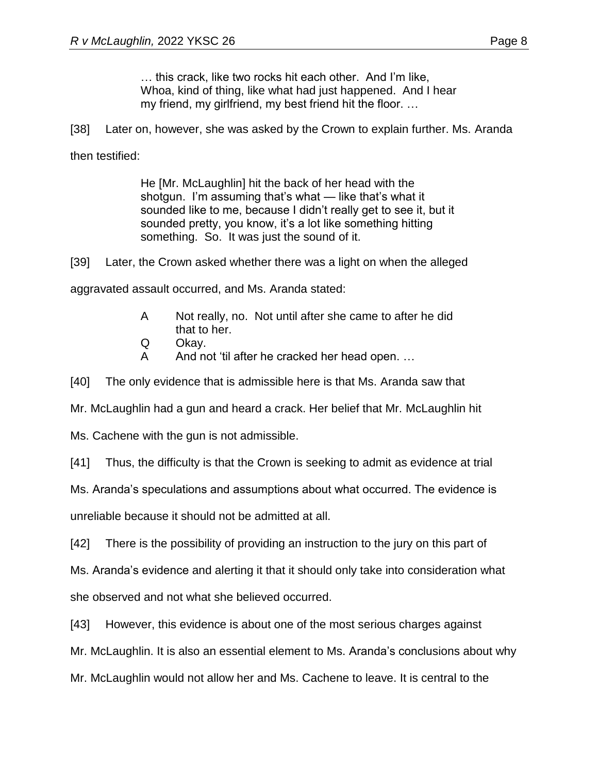… this crack, like two rocks hit each other. And I'm like, Whoa, kind of thing, like what had just happened. And I hear my friend, my girlfriend, my best friend hit the floor. …

[38] Later on, however, she was asked by the Crown to explain further. Ms. Aranda

then testified:

He [Mr. McLaughlin] hit the back of her head with the shotgun. I'm assuming that's what — like that's what it sounded like to me, because I didn't really get to see it, but it sounded pretty, you know, it's a lot like something hitting something. So. It was just the sound of it.

[39] Later, the Crown asked whether there was a light on when the alleged

aggravated assault occurred, and Ms. Aranda stated:

- A Not really, no. Not until after she came to after he did that to her.
- Q Okay.
- A And not 'til after he cracked her head open. …

[40] The only evidence that is admissible here is that Ms. Aranda saw that

Mr. McLaughlin had a gun and heard a crack. Her belief that Mr. McLaughlin hit

Ms. Cachene with the gun is not admissible.

[41] Thus, the difficulty is that the Crown is seeking to admit as evidence at trial

Ms. Aranda's speculations and assumptions about what occurred. The evidence is

unreliable because it should not be admitted at all.

[42] There is the possibility of providing an instruction to the jury on this part of

Ms. Aranda's evidence and alerting it that it should only take into consideration what she observed and not what she believed occurred.

[43] However, this evidence is about one of the most serious charges against

Mr. McLaughlin. It is also an essential element to Ms. Aranda's conclusions about why

Mr. McLaughlin would not allow her and Ms. Cachene to leave. It is central to the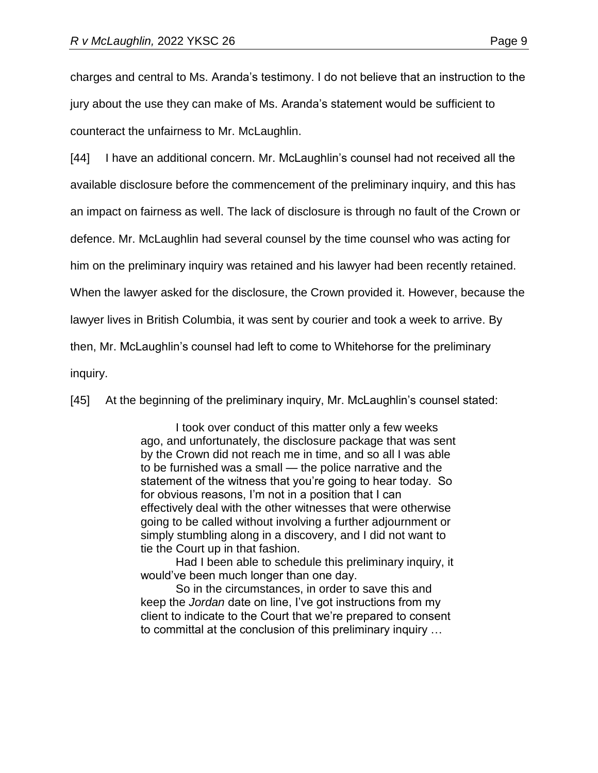charges and central to Ms. Aranda's testimony. I do not believe that an instruction to the jury about the use they can make of Ms. Aranda's statement would be sufficient to counteract the unfairness to Mr. McLaughlin.

[44] I have an additional concern. Mr. McLaughlin's counsel had not received all the available disclosure before the commencement of the preliminary inquiry, and this has an impact on fairness as well. The lack of disclosure is through no fault of the Crown or defence. Mr. McLaughlin had several counsel by the time counsel who was acting for him on the preliminary inquiry was retained and his lawyer had been recently retained. When the lawyer asked for the disclosure, the Crown provided it. However, because the lawyer lives in British Columbia, it was sent by courier and took a week to arrive. By then, Mr. McLaughlin's counsel had left to come to Whitehorse for the preliminary inquiry.

[45] At the beginning of the preliminary inquiry, Mr. McLaughlin's counsel stated:

I took over conduct of this matter only a few weeks ago, and unfortunately, the disclosure package that was sent by the Crown did not reach me in time, and so all I was able to be furnished was a small — the police narrative and the statement of the witness that you're going to hear today. So for obvious reasons, I'm not in a position that I can effectively deal with the other witnesses that were otherwise going to be called without involving a further adjournment or simply stumbling along in a discovery, and I did not want to tie the Court up in that fashion.

Had I been able to schedule this preliminary inquiry, it would've been much longer than one day.

So in the circumstances, in order to save this and keep the *Jordan* date on line, I've got instructions from my client to indicate to the Court that we're prepared to consent to committal at the conclusion of this preliminary inquiry …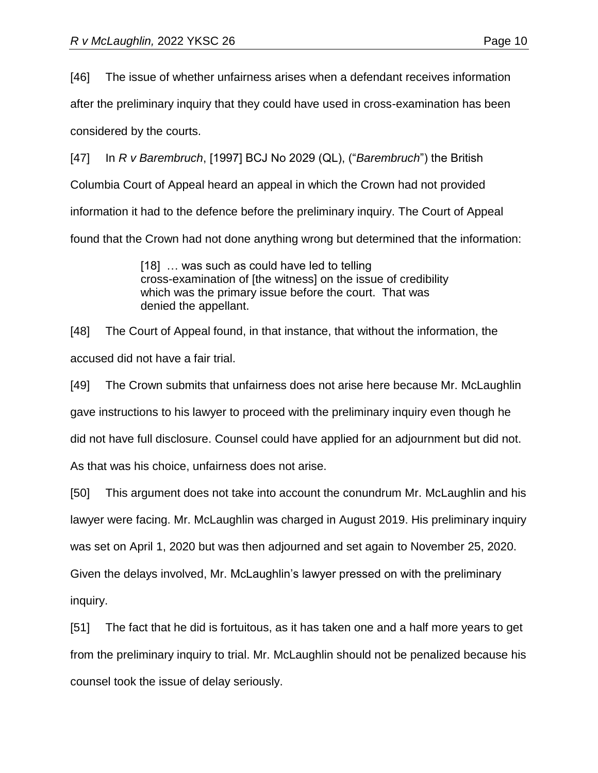[46] The issue of whether unfairness arises when a defendant receives information

after the preliminary inquiry that they could have used in cross-examination has been

considered by the courts.

[47] In *R v Barembruch*, [1997] BCJ No 2029 (QL), ("*Barembruch*") the British Columbia Court of Appeal heard an appeal in which the Crown had not provided information it had to the defence before the preliminary inquiry. The Court of Appeal found that the Crown had not done anything wrong but determined that the information:

> [18] ... was such as could have led to telling cross-examination of [the witness] on the issue of credibility which was the primary issue before the court. That was denied the appellant.

[48] The Court of Appeal found, in that instance, that without the information, the accused did not have a fair trial.

[49] The Crown submits that unfairness does not arise here because Mr. McLaughlin gave instructions to his lawyer to proceed with the preliminary inquiry even though he did not have full disclosure. Counsel could have applied for an adjournment but did not. As that was his choice, unfairness does not arise.

[50] This argument does not take into account the conundrum Mr. McLaughlin and his lawyer were facing. Mr. McLaughlin was charged in August 2019. His preliminary inquiry was set on April 1, 2020 but was then adjourned and set again to November 25, 2020. Given the delays involved, Mr. McLaughlin's lawyer pressed on with the preliminary inquiry.

[51] The fact that he did is fortuitous, as it has taken one and a half more years to get from the preliminary inquiry to trial. Mr. McLaughlin should not be penalized because his counsel took the issue of delay seriously.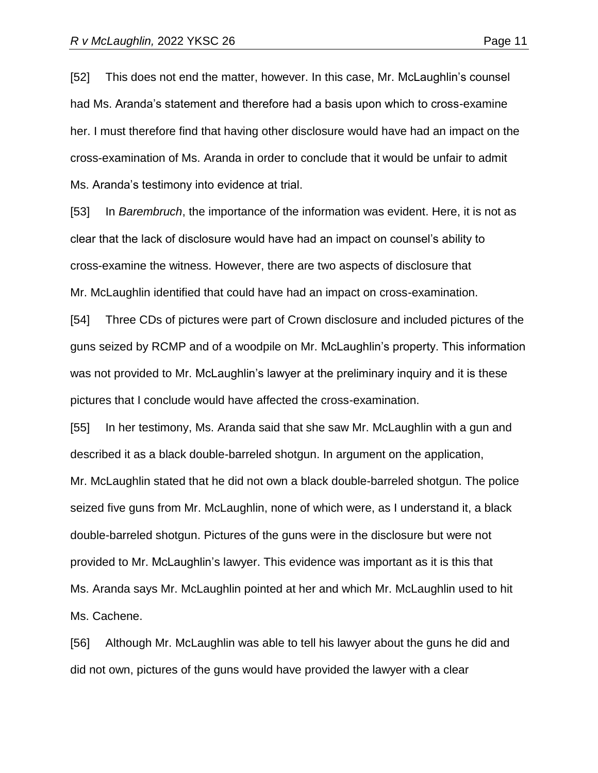[52] This does not end the matter, however. In this case, Mr. McLaughlin's counsel had Ms. Aranda's statement and therefore had a basis upon which to cross-examine her. I must therefore find that having other disclosure would have had an impact on the cross-examination of Ms. Aranda in order to conclude that it would be unfair to admit Ms. Aranda's testimony into evidence at trial.

[53] In *Barembruch*, the importance of the information was evident. Here, it is not as clear that the lack of disclosure would have had an impact on counsel's ability to cross-examine the witness. However, there are two aspects of disclosure that Mr. McLaughlin identified that could have had an impact on cross-examination.

[54] Three CDs of pictures were part of Crown disclosure and included pictures of the guns seized by RCMP and of a woodpile on Mr. McLaughlin's property. This information was not provided to Mr. McLaughlin's lawyer at the preliminary inquiry and it is these pictures that I conclude would have affected the cross-examination.

[55] In her testimony, Ms. Aranda said that she saw Mr. McLaughlin with a gun and described it as a black double-barreled shotgun. In argument on the application, Mr. McLaughlin stated that he did not own a black double-barreled shotgun. The police seized five guns from Mr. McLaughlin, none of which were, as I understand it, a black double-barreled shotgun. Pictures of the guns were in the disclosure but were not provided to Mr. McLaughlin's lawyer. This evidence was important as it is this that Ms. Aranda says Mr. McLaughlin pointed at her and which Mr. McLaughlin used to hit Ms. Cachene.

[56] Although Mr. McLaughlin was able to tell his lawyer about the guns he did and did not own, pictures of the guns would have provided the lawyer with a clear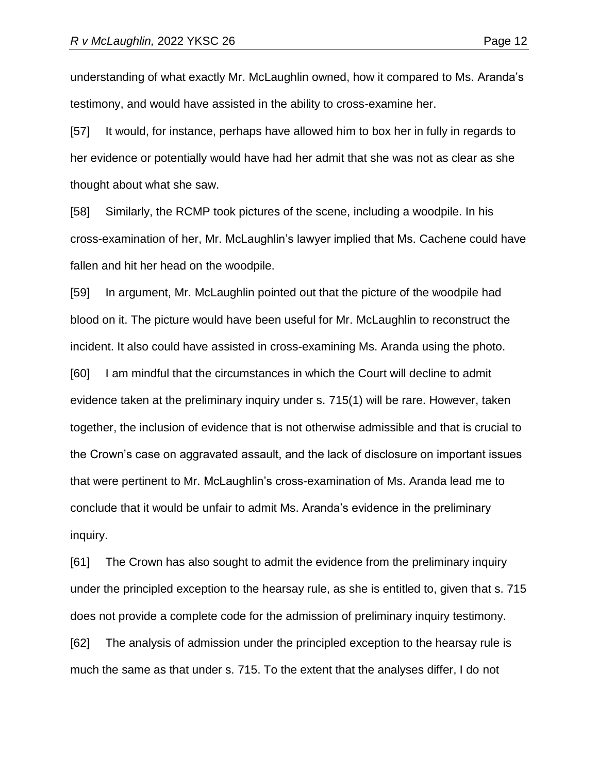understanding of what exactly Mr. McLaughlin owned, how it compared to Ms. Aranda's testimony, and would have assisted in the ability to cross-examine her.

[57] It would, for instance, perhaps have allowed him to box her in fully in regards to her evidence or potentially would have had her admit that she was not as clear as she thought about what she saw.

[58] Similarly, the RCMP took pictures of the scene, including a woodpile. In his cross-examination of her, Mr. McLaughlin's lawyer implied that Ms. Cachene could have fallen and hit her head on the woodpile.

[59] In argument, Mr. McLaughlin pointed out that the picture of the woodpile had blood on it. The picture would have been useful for Mr. McLaughlin to reconstruct the incident. It also could have assisted in cross-examining Ms. Aranda using the photo.

[60] I am mindful that the circumstances in which the Court will decline to admit evidence taken at the preliminary inquiry under s. 715(1) will be rare. However, taken together, the inclusion of evidence that is not otherwise admissible and that is crucial to the Crown's case on aggravated assault, and the lack of disclosure on important issues that were pertinent to Mr. McLaughlin's cross-examination of Ms. Aranda lead me to conclude that it would be unfair to admit Ms. Aranda's evidence in the preliminary inquiry.

[61] The Crown has also sought to admit the evidence from the preliminary inquiry under the principled exception to the hearsay rule, as she is entitled to, given that s. 715 does not provide a complete code for the admission of preliminary inquiry testimony. [62] The analysis of admission under the principled exception to the hearsay rule is much the same as that under s. 715. To the extent that the analyses differ, I do not